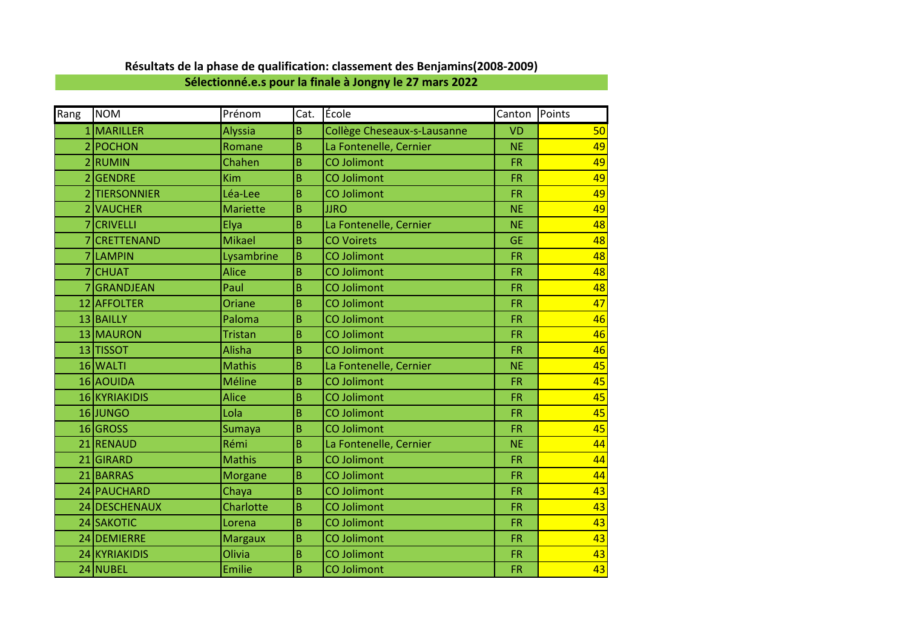|  |  | Résultats de la phase de qualification: classement des Benjamins(2008-2009) |  |  |
|--|--|-----------------------------------------------------------------------------|--|--|
|--|--|-----------------------------------------------------------------------------|--|--|

**Sélectionné.e.s pour la finale à Jongny le 27 mars 2022**

| Rang                     | <b>NOM</b>         | Prénom          | Cat. | École                       | Canton Points |    |
|--------------------------|--------------------|-----------------|------|-----------------------------|---------------|----|
|                          | MARILLER           | <b>Alyssia</b>  | B    | Collège Cheseaux-s-Lausanne | <b>VD</b>     | 50 |
| $\overline{2}$           | POCHON             | Romane          | B    | La Fontenelle, Cernier      | <b>NE</b>     | 49 |
| $\overline{\mathcal{L}}$ | <b>RUMIN</b>       | Chahen          | B    | <b>CO Jolimont</b>          | <b>FR</b>     | 49 |
| 2                        | <b>GENDRE</b>      | Kim             | B    | <b>CO Jolimont</b>          | <b>FR</b>     | 49 |
|                          | <b>TIERSONNIER</b> | Léa-Lee         | B    | <b>CO Jolimont</b>          | <b>FR</b>     | 49 |
|                          | <b>VAUCHER</b>     | <b>Mariette</b> | B    | <b>JJRO</b>                 | <b>NE</b>     | 49 |
|                          | <b>CRIVELLI</b>    | Elya            | B    | La Fontenelle, Cernier      | <b>NE</b>     | 48 |
|                          | <b>CRETTENAND</b>  | <b>Mikael</b>   | B    | <b>CO Voirets</b>           | <b>GE</b>     | 48 |
|                          | 7 LAMPIN           | Lysambrine      | B    | <b>CO Jolimont</b>          | <b>FR</b>     | 48 |
|                          | <b>CHUAT</b>       | <b>Alice</b>    | B    | <b>CO Jolimont</b>          | <b>FR</b>     | 48 |
|                          | GRANDJEAN          | Paul            | B    | <b>CO Jolimont</b>          | <b>FR</b>     | 48 |
|                          | 12 AFFOLTER        | Oriane          | B    | <b>CO Jolimont</b>          | <b>FR</b>     | 47 |
|                          | 13 BAILLY          | Paloma          | B    | <b>CO Jolimont</b>          | <b>FR</b>     | 46 |
|                          | 13 MAURON          | <b>Tristan</b>  | B    | <b>CO Jolimont</b>          | <b>FR</b>     | 46 |
|                          | 13 TISSOT          | Alisha          | B    | <b>CO Jolimont</b>          | <b>FR</b>     | 46 |
|                          | 16 WALTI           | <b>Mathis</b>   | B    | La Fontenelle, Cernier      | <b>NE</b>     | 45 |
|                          | 16 AOUIDA          | Méline          | B    | <b>CO Jolimont</b>          | <b>FR</b>     | 45 |
|                          | 16 KYRIAKIDIS      | <b>Alice</b>    | B    | <b>CO Jolimont</b>          | <b>FR</b>     | 45 |
|                          | 16 JUNGO           | Lola            | B    | <b>CO Jolimont</b>          | <b>FR</b>     | 45 |
|                          | 16 GROSS           | Sumaya          | B    | <b>CO Jolimont</b>          | <b>FR</b>     | 45 |
|                          | 21 RENAUD          | Rémi            | B    | La Fontenelle, Cernier      | <b>NE</b>     | 44 |
|                          | 21 GIRARD          | <b>Mathis</b>   | B    | <b>CO Jolimont</b>          | <b>FR</b>     | 44 |
|                          | 21 BARRAS          | <b>Morgane</b>  | B    | <b>CO Jolimont</b>          | <b>FR</b>     | 44 |
|                          | 24 PAUCHARD        | Chaya           | B    | <b>CO Jolimont</b>          | <b>FR</b>     | 43 |
|                          | 24 DESCHENAUX      | Charlotte       | B    | <b>CO Jolimont</b>          | <b>FR</b>     | 43 |
|                          | 24 SAKOTIC         | Lorena          | B    | <b>CO Jolimont</b>          | <b>FR</b>     | 43 |
|                          | 24 DEMIERRE        | <b>Margaux</b>  | B    | <b>CO Jolimont</b>          | <b>FR</b>     | 43 |
|                          | 24 KYRIAKIDIS      | Olivia          | B    | <b>CO Jolimont</b>          | <b>FR</b>     | 43 |
|                          | 24 NUBEL           | Emilie          | B    | <b>CO Jolimont</b>          | <b>FR</b>     | 43 |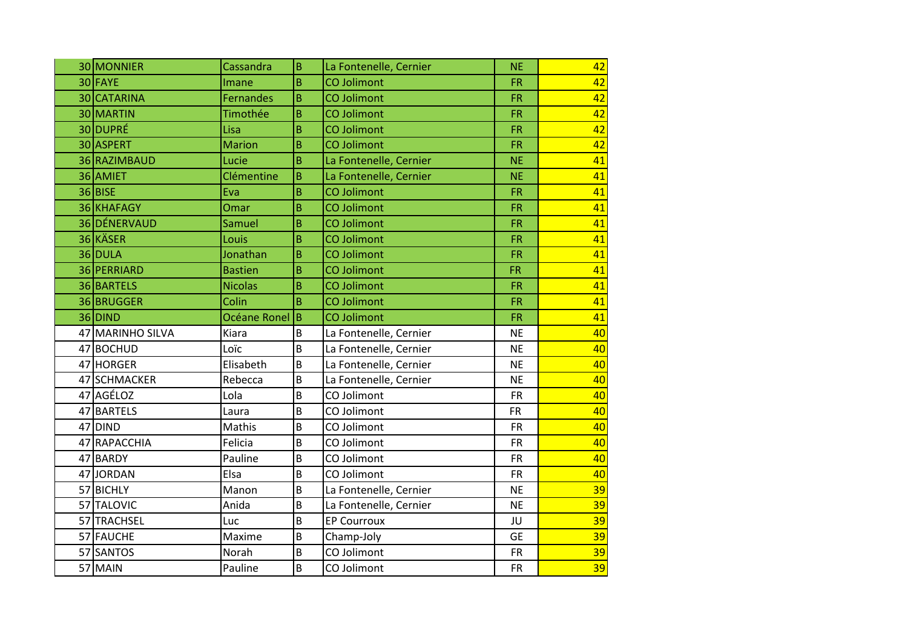| 30 MONNIER       | Cassandra        | B              | La Fontenelle, Cernier | <b>NE</b> | 42       |
|------------------|------------------|----------------|------------------------|-----------|----------|
| 30 FAYE          | Imane            | B              | <b>CO Jolimont</b>     | <b>FR</b> | 42       |
| 30 CATARINA      | <b>Fernandes</b> | B              | <b>CO Jolimont</b>     | <b>FR</b> | 42       |
| 30 MARTIN        | Timothée         | B              | <b>CO Jolimont</b>     | <b>FR</b> | 42       |
| 30 DUPRÉ         | Lisa             | B              | <b>CO Jolimont</b>     | <b>FR</b> | 42       |
| 30 ASPERT        | <b>Marion</b>    | B              | <b>CO Jolimont</b>     | <b>FR</b> | 42       |
| 36 RAZIMBAUD     | Lucie            | B              | La Fontenelle, Cernier | <b>NE</b> | 41       |
| 36 AMIET         | Clémentine       | B              | La Fontenelle, Cernier | <b>NE</b> | 41       |
| 36 BISE          | Eva              | B              | <b>CO Jolimont</b>     | <b>FR</b> | 41       |
| 36 KHAFAGY       | Omar             | B              | <b>CO Jolimont</b>     | <b>FR</b> | 41       |
| 36 DÉNERVAUD     | Samuel           | B              | <b>CO Jolimont</b>     | <b>FR</b> | 41       |
| 36 KÄSER         | Louis            | B              | CO Jolimont            | <b>FR</b> | 41       |
| 36 DULA          | Jonathan         | B              | <b>CO Jolimont</b>     | <b>FR</b> | 41       |
| 36 PERRIARD      | <b>Bastien</b>   | B              | <b>CO Jolimont</b>     | <b>FR</b> | 41       |
| 36 BARTELS       | <b>Nicolas</b>   | B              | <b>CO Jolimont</b>     | <b>FR</b> | 41       |
| 36 BRUGGER       | Colin            | B              | CO Jolimont            | <b>FR</b> | 41       |
|                  |                  |                |                        |           |          |
| 36 DIND          | Océane Ronel     | ΙB             | <b>CO Jolimont</b>     | <b>FR</b> | 41       |
| 47 MARINHO SILVA | Kiara            | B              | La Fontenelle, Cernier | <b>NE</b> | 40       |
| 47 BOCHUD        | Loïc             | $\overline{B}$ | La Fontenelle, Cernier | <b>NE</b> | 40       |
| 47 HORGER        | Elisabeth        | $\overline{B}$ | La Fontenelle, Cernier | <b>NE</b> | 40       |
| 47 SCHMACKER     | Rebecca          | $\overline{B}$ | La Fontenelle, Cernier | <b>NE</b> | 40       |
| 47 AGÉLOZ        | Lola             | $\overline{B}$ | CO Jolimont            | <b>FR</b> | 40       |
| 47 BARTELS       | Laura            | $\overline{B}$ | CO Jolimont            | <b>FR</b> | 40       |
| 47 DIND          | Mathis           | $\overline{B}$ | CO Jolimont            | <b>FR</b> | 40       |
| 47 RAPACCHIA     | Felicia          | B              | CO Jolimont            | <b>FR</b> | 40       |
| 47 BARDY         | Pauline          | $\overline{B}$ | CO Jolimont            | <b>FR</b> | 40       |
| 47 JORDAN        | Elsa             | $\overline{B}$ | CO Jolimont            | <b>FR</b> | 40       |
| 57 BICHLY        | Manon            | B              | La Fontenelle, Cernier | <b>NE</b> | 39       |
| 57 TALOVIC       | Anida            | B              | La Fontenelle, Cernier | <b>NE</b> | 39       |
| 57 TRACHSEL      | Luc              | $\overline{B}$ | <b>EP Courroux</b>     | JU        | 39       |
| 57 FAUCHE        | Maxime           | $\overline{B}$ | Champ-Joly             | <b>GE</b> | 39       |
| 57 SANTOS        | Norah            | B              | CO Jolimont            | <b>FR</b> | 39<br>39 |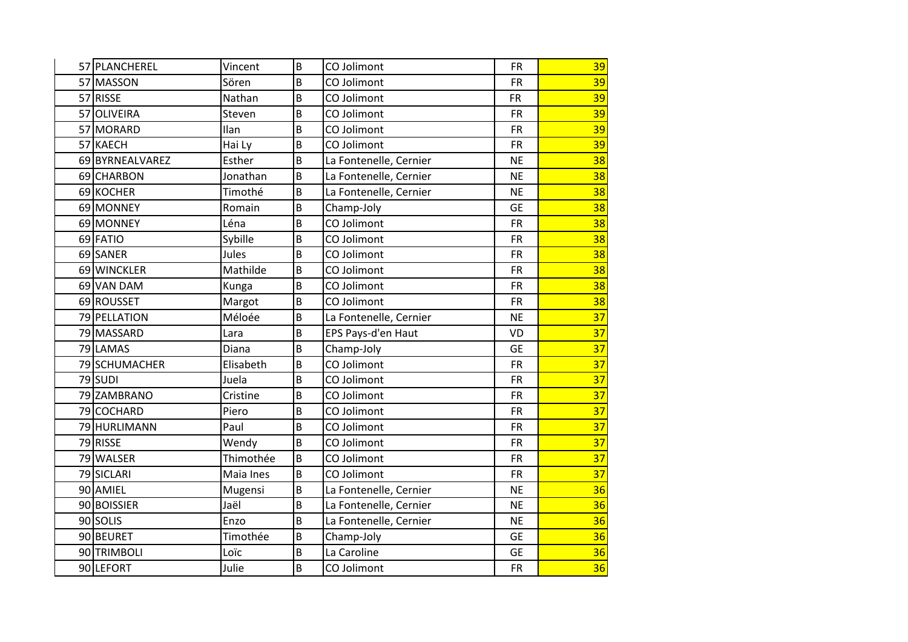| 57 PLANCHEREL   | Vincent   | B              | CO Jolimont            | <b>FR</b> | 39              |
|-----------------|-----------|----------------|------------------------|-----------|-----------------|
| 57 MASSON       | Sören     | B              | CO Jolimont            | <b>FR</b> | 39              |
| 57 RISSE        | Nathan    | B              | CO Jolimont            | <b>FR</b> | 39              |
| 57 OLIVEIRA     | Steven    | $\overline{B}$ | CO Jolimont            | <b>FR</b> | 39              |
| 57 MORARD       | Ilan      | $\overline{B}$ | CO Jolimont            | <b>FR</b> | 39              |
| 57 KAECH        | Hai Ly    | B              | CO Jolimont            | <b>FR</b> | $\overline{39}$ |
| 69 BYRNEALVAREZ | Esther    | B              | La Fontenelle, Cernier | <b>NE</b> | 38              |
| 69 CHARBON      | Jonathan  | $\overline{B}$ | La Fontenelle, Cernier | <b>NE</b> | 38              |
| 69 KOCHER       | Timothé   | B              | La Fontenelle, Cernier | <b>NE</b> | 38              |
| 69 MONNEY       | Romain    | B              | Champ-Joly             | <b>GE</b> | 38              |
| 69 MONNEY       | Léna      | B              | CO Jolimont            | <b>FR</b> | 38              |
| 69 FATIO        | Sybille   | B              | CO Jolimont            | <b>FR</b> | 38              |
| 69 SANER        | Jules     | B              | CO Jolimont            | <b>FR</b> | $\overline{38}$ |
| 69 WINCKLER     | Mathilde  | B              | CO Jolimont            | <b>FR</b> | 38              |
| 69 VAN DAM      | Kunga     | B              | CO Jolimont            | <b>FR</b> | 38              |
| 69 ROUSSET      | Margot    | B              | CO Jolimont            | <b>FR</b> | 38              |
| 79 PELLATION    | Méloée    | $\overline{B}$ | La Fontenelle, Cernier | <b>NE</b> | 37              |
| 79 MASSARD      | Lara      | B              | EPS Pays-d'en Haut     | VD        | 37              |
| 79 LAMAS        | Diana     | B              | Champ-Joly             | <b>GE</b> | 37              |
| 79 SCHUMACHER   | Elisabeth | B              | CO Jolimont            | <b>FR</b> | 37              |
| 79 SUDI         | Juela     | B              | CO Jolimont            | <b>FR</b> | 37              |
| 79 ZAMBRANO     | Cristine  | $\overline{B}$ | CO Jolimont            | <b>FR</b> | 37              |
| 79 COCHARD      | Piero     | B              | CO Jolimont            | <b>FR</b> | 37              |
| 79 HURLIMANN    | Paul      | B              | CO Jolimont            | <b>FR</b> | 37              |
| 79 RISSE        | Wendy     | B              | CO Jolimont            | <b>FR</b> | 37              |
| 79 WALSER       | Thimothée | B              | CO Jolimont            | <b>FR</b> | 37              |
| 79 SICLARI      | Maia Ines | B              | CO Jolimont            | <b>FR</b> | 37              |
| 90 AMIEL        | Mugensi   | $\overline{B}$ | La Fontenelle, Cernier | <b>NE</b> | 36              |
| 90 BOISSIER     | Jaël      | B              | La Fontenelle, Cernier | <b>NE</b> | 36              |
| 90 SOLIS        | Enzo      | $\overline{B}$ | La Fontenelle, Cernier | <b>NE</b> | 36              |
| 90 BEURET       | Timothée  | $\overline{B}$ | Champ-Joly             | <b>GE</b> | 36              |
| 90 TRIMBOLI     | Loïc      | $\overline{B}$ | La Caroline            | <b>GE</b> | 36              |
| 90 LEFORT       | Julie     | B              | CO Jolimont            | <b>FR</b> | 36              |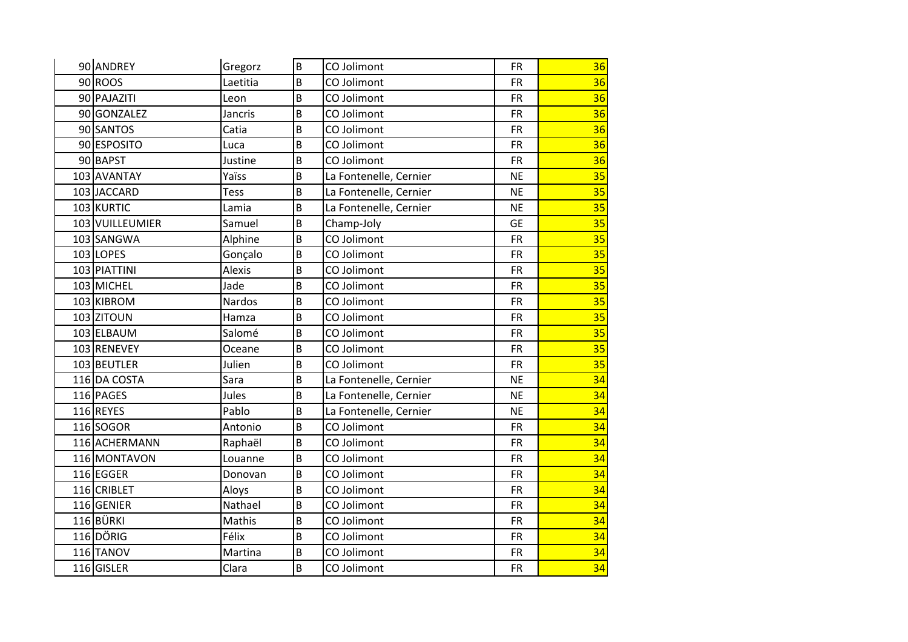| 90 ANDREY       | Gregorz        | $\sf B$ | CO Jolimont            | <b>FR</b> | 36 |
|-----------------|----------------|---------|------------------------|-----------|----|
| 90 ROOS         | Laetitia       | B       | CO Jolimont            | <b>FR</b> | 36 |
| 90 PAJAZITI     | Leon           | B       | CO Jolimont            | <b>FR</b> | 36 |
| 90 GONZALEZ     | <b>Jancris</b> | B       | CO Jolimont            | <b>FR</b> | 36 |
| 90 SANTOS       | Catia          | B       | CO Jolimont            | <b>FR</b> | 36 |
| 90 ESPOSITO     | Luca           | B       | CO Jolimont            | <b>FR</b> | 36 |
| 90 BAPST        | Justine        | B       | CO Jolimont            | <b>FR</b> | 36 |
| 103 AVANTAY     | Yaïss          | B       | La Fontenelle, Cernier | <b>NE</b> | 35 |
| 103 JACCARD     | <b>Tess</b>    | B       | La Fontenelle, Cernier | <b>NE</b> | 35 |
| 103 KURTIC      | Lamia          | B       | La Fontenelle, Cernier | <b>NE</b> | 35 |
| 103 VUILLEUMIER | Samuel         | B       | Champ-Joly             | <b>GE</b> | 35 |
| 103 SANGWA      | Alphine        | $\sf B$ | CO Jolimont            | <b>FR</b> | 35 |
| 103 LOPES       | Gonçalo        | B       | CO Jolimont            | <b>FR</b> | 35 |
| 103 PIATTINI    | Alexis         | B       | CO Jolimont            | <b>FR</b> | 35 |
| 103 MICHEL      | Jade           | B       | CO Jolimont            | <b>FR</b> | 35 |
| 103 KIBROM      | Nardos         | B       | CO Jolimont            | <b>FR</b> | 35 |
| 103 ZITOUN      | Hamza          | B       | CO Jolimont            | <b>FR</b> | 35 |
| 103 ELBAUM      | Salomé         | B       | CO Jolimont            | <b>FR</b> | 35 |
| 103 RENEVEY     | Oceane         | B       | CO Jolimont            | <b>FR</b> | 35 |
| 103 BEUTLER     | Julien         | B       | CO Jolimont            | <b>FR</b> | 35 |
| 116 DA COSTA    | Sara           | B       | La Fontenelle, Cernier | <b>NE</b> | 34 |
| 116 PAGES       | Jules          | B       | La Fontenelle, Cernier | <b>NE</b> | 34 |
| 116 REYES       | Pablo          | B       | La Fontenelle, Cernier | <b>NE</b> | 34 |
| 116 SOGOR       | Antonio        | B       | CO Jolimont            | <b>FR</b> | 34 |
| 116 ACHERMANN   | Raphaël        | B       | CO Jolimont            | <b>FR</b> | 34 |
| 116 MONTAVON    | Louanne        | B       | CO Jolimont            | <b>FR</b> | 34 |
| 116 EGGER       | Donovan        | B       | CO Jolimont            | <b>FR</b> | 34 |
| 116 CRIBLET     | Aloys          | B       | CO Jolimont            | <b>FR</b> | 34 |
| 116 GENIER      | Nathael        | B       | CO Jolimont            | <b>FR</b> | 34 |
| 116BÜRKI        | Mathis         | B       | CO Jolimont            | <b>FR</b> | 34 |
| $116$ DÖRIG     | Félix          | B       | CO Jolimont            | <b>FR</b> | 34 |
| 116 TANOV       | Martina        | B       | CO Jolimont            | <b>FR</b> | 34 |
| 116 GISLER      | Clara          | B       | CO Jolimont            | <b>FR</b> | 34 |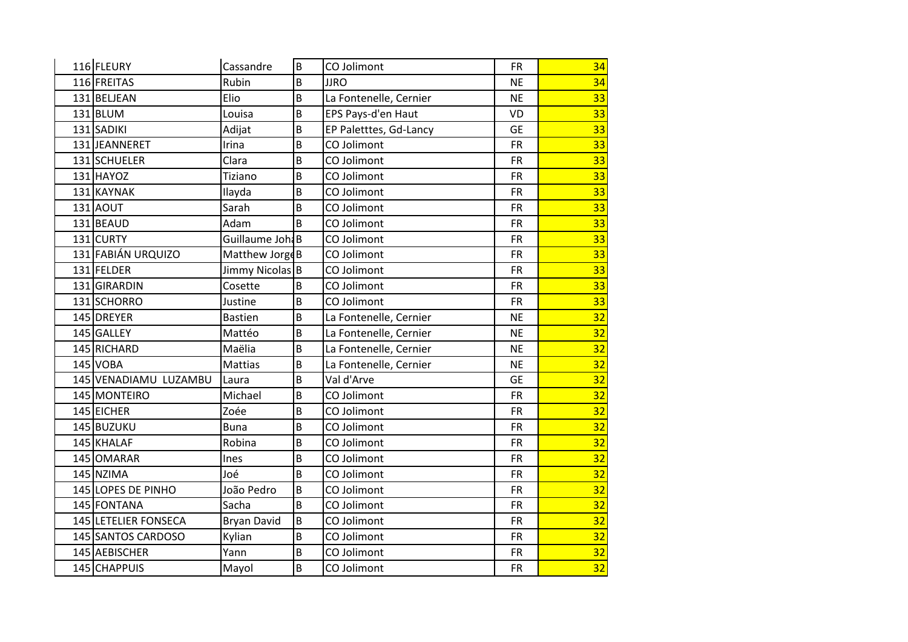| 116 FLEURY            | Cassandre                  | B       | CO Jolimont            | <b>FR</b> | 34 |
|-----------------------|----------------------------|---------|------------------------|-----------|----|
| 116 FREITAS           | Rubin                      | B       | <b>JJRO</b>            | <b>NE</b> | 34 |
| 131 BELJEAN           | Elio                       | B       | La Fontenelle, Cernier | <b>NE</b> | 33 |
| $131$ BLUM            | Louisa                     | $\sf B$ | EPS Pays-d'en Haut     | VD        | 33 |
| 131 SADIKI            | Adijat                     | B       | EP Paletttes, Gd-Lancy | <b>GE</b> | 33 |
| 131JEANNERET          | Irina                      | B       | CO Jolimont            | <b>FR</b> | 33 |
| 131 SCHUELER          | Clara                      | B       | CO Jolimont            | <b>FR</b> | 33 |
| 131 HAYOZ             | Tiziano                    | B       | CO Jolimont            | <b>FR</b> | 33 |
| 131 KAYNAK            | Ilayda                     | B       | CO Jolimont            | <b>FR</b> | 33 |
| <b>131 AOUT</b>       | Sarah                      | B       | CO Jolimont            | <b>FR</b> | 33 |
| 131 BEAUD             | Adam                       | B       | CO Jolimont            | <b>FR</b> | 33 |
| 131 CURTY             | Guillaume Joha B           |         | CO Jolimont            | <b>FR</b> | 33 |
| 131 FABIÁN URQUIZO    | Matthew Jorge B            |         | CO Jolimont            | <b>FR</b> | 33 |
| 131 FELDER            | Jimmy Nicolas <sup>B</sup> |         | CO Jolimont            | <b>FR</b> | 33 |
| 131 GIRARDIN          | Cosette                    | B       | CO Jolimont            | <b>FR</b> | 33 |
| 131 SCHORRO           | Justine                    | B       | CO Jolimont            | <b>FR</b> | 33 |
| 145 DREYER            | <b>Bastien</b>             | B       | La Fontenelle, Cernier | <b>NE</b> | 32 |
| 145 GALLEY            | Mattéo                     | B       | La Fontenelle, Cernier | <b>NE</b> | 32 |
| 145 RICHARD           | Maëlia                     | B       | La Fontenelle, Cernier | <b>NE</b> | 32 |
| 145 VOBA              | Mattias                    | B       | La Fontenelle, Cernier | <b>NE</b> | 32 |
| 145 VENADIAMU LUZAMBU | Laura                      | B       | Val d'Arve             | <b>GE</b> | 32 |
| 145 MONTEIRO          | Michael                    | B       | CO Jolimont            | <b>FR</b> | 32 |
| 145 EICHER            | Zoée                       | B       | CO Jolimont            | <b>FR</b> | 32 |
| 145 BUZUKU            | Buna                       | B       | CO Jolimont            | <b>FR</b> | 32 |
| 145 KHALAF            | Robina                     | B       | CO Jolimont            | <b>FR</b> | 32 |
| 145 OMARAR            | Ines                       | B       | CO Jolimont            | <b>FR</b> | 32 |
| 145 NZIMA             | Joé                        | B       | CO Jolimont            | <b>FR</b> | 32 |
| 145 LOPES DE PINHO    | João Pedro                 | B       | CO Jolimont            | <b>FR</b> | 32 |
| 145 FONTANA           | Sacha                      | B       | CO Jolimont            | <b>FR</b> | 32 |
| 145 LETELIER FONSECA  | <b>Bryan David</b>         | B       | CO Jolimont            | <b>FR</b> | 32 |
| 145 SANTOS CARDOSO    | Kylian                     | B       | CO Jolimont            | <b>FR</b> | 32 |
| 145 AEBISCHER         | Yann                       | B       | CO Jolimont            | <b>FR</b> | 32 |
| 145 CHAPPUIS          | Mayol                      | B       | CO Jolimont            | <b>FR</b> | 32 |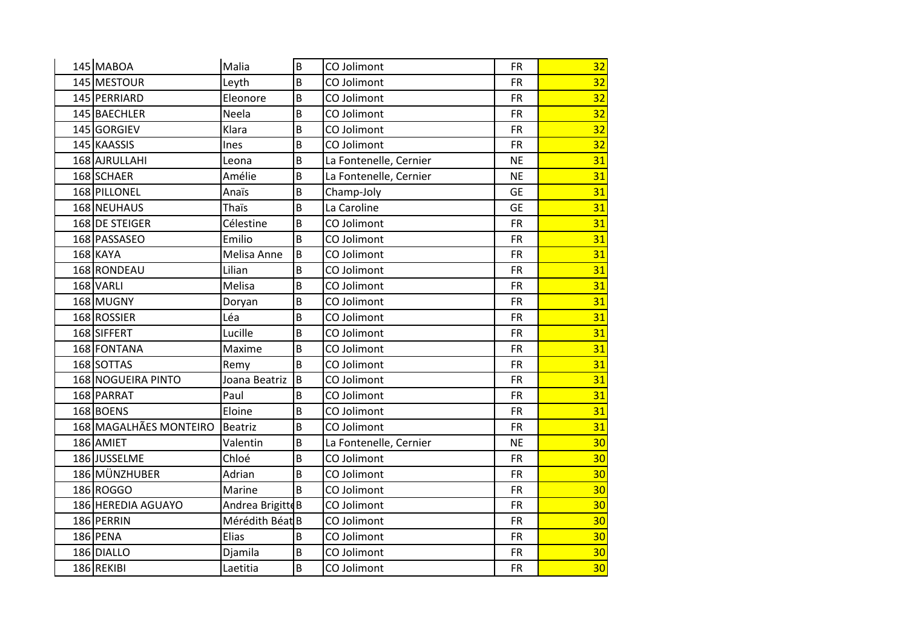| 145 MABOA              | Malia                      | B | CO Jolimont            | <b>FR</b> | 32 |
|------------------------|----------------------------|---|------------------------|-----------|----|
| 145 MESTOUR            | Leyth                      | B | CO Jolimont            | <b>FR</b> | 32 |
| 145 PERRIARD           | Eleonore                   | B | CO Jolimont            | <b>FR</b> | 32 |
| 145 BAECHLER           | Neela                      | B | CO Jolimont            | <b>FR</b> | 32 |
| 145 GORGIEV            | Klara                      | B | CO Jolimont            | <b>FR</b> | 32 |
| 145 KAASSIS            | Ines                       | B | CO Jolimont            | <b>FR</b> | 32 |
| 168 AJRULLAHI          | Leona                      | B | La Fontenelle, Cernier | <b>NE</b> | 31 |
| 168 SCHAER             | Amélie                     | B | La Fontenelle, Cernier | <b>NE</b> | 31 |
| 168 PILLONEL           | Anaïs                      | B | Champ-Joly             | <b>GE</b> | 31 |
| 168 NEUHAUS            | Thaïs                      | B | La Caroline            | <b>GE</b> | 31 |
| 168 DE STEIGER         | Célestine                  | B | CO Jolimont            | <b>FR</b> | 31 |
| 168 PASSASEO           | Emilio                     | B | CO Jolimont            | <b>FR</b> | 31 |
| 168 KAYA               | Melisa Anne                | B | CO Jolimont            | <b>FR</b> | 31 |
| 168 RONDEAU            | Lilian                     | B | CO Jolimont            | <b>FR</b> | 31 |
| 168 VARLI              | Melisa                     | B | CO Jolimont            | <b>FR</b> | 31 |
| 168 MUGNY              | Doryan                     | B | CO Jolimont            | <b>FR</b> | 31 |
| 168 ROSSIER            | Léa                        | B | CO Jolimont            | <b>FR</b> | 31 |
| 168 SIFFERT            | Lucille                    | B | CO Jolimont            | <b>FR</b> | 31 |
| 168 FONTANA            | Maxime                     | B | CO Jolimont            | <b>FR</b> | 31 |
| 168 SOTTAS             | Remy                       | B | CO Jolimont            | <b>FR</b> | 31 |
| 168 NOGUEIRA PINTO     | Joana Beatriz              | B | CO Jolimont            | <b>FR</b> | 31 |
| 168 PARRAT             | Paul                       | B | CO Jolimont            | <b>FR</b> | 31 |
| 168 BOENS              | Eloine                     | B | CO Jolimont            | <b>FR</b> | 31 |
| 168 MAGALHÃES MONTEIRO | <b>Beatriz</b>             | B | CO Jolimont            | <b>FR</b> | 31 |
| 186 AMIET              | Valentin                   | B | La Fontenelle, Cernier | <b>NE</b> | 30 |
| 186 JUSSELME           | Chloé                      | B | CO Jolimont            | <b>FR</b> | 30 |
| 186 MÜNZHUBER          | Adrian                     | B | CO Jolimont            | <b>FR</b> | 30 |
| 186 ROGGO              | Marine                     | B | CO Jolimont            | <b>FR</b> | 30 |
| 186 HEREDIA AGUAYO     | Andrea Brigitte B          |   | CO Jolimont            | <b>FR</b> | 30 |
| 186 PERRIN             | Mérédith Béat <sup>B</sup> |   | CO Jolimont            | <b>FR</b> | 30 |
| 186 PENA               | Elias                      | B | CO Jolimont            | <b>FR</b> | 30 |
| 186 DIALLO             | Djamila                    | B | CO Jolimont            | <b>FR</b> | 30 |
| 186 REKIBI             | Laetitia                   | B | CO Jolimont            | <b>FR</b> | 30 |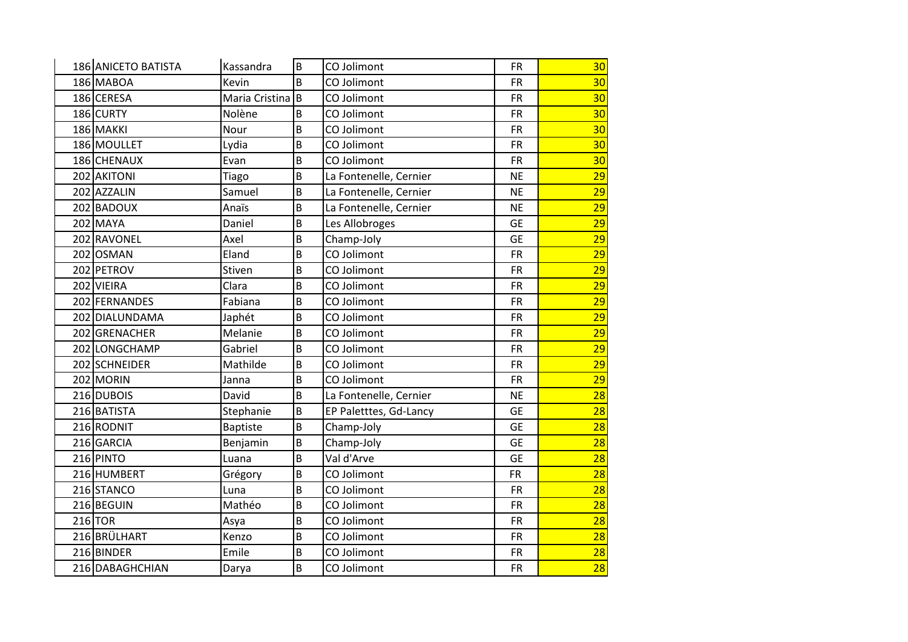| 186 ANICETO BATISTA | Kassandra       | B  | CO Jolimont            | <b>FR</b> | 30 |
|---------------------|-----------------|----|------------------------|-----------|----|
| 186 MABOA           | Kevin           | B  | CO Jolimont            | <b>FR</b> | 30 |
| 186 CERESA          | Maria Cristina  | Iв | CO Jolimont            | <b>FR</b> | 30 |
| 186 CURTY           | Nolène          | B  | CO Jolimont            | <b>FR</b> | 30 |
| 186 MAKKI           | Nour            | B  | CO Jolimont            | <b>FR</b> | 30 |
| 186 MOULLET         | Lydia           | B  | CO Jolimont            | <b>FR</b> | 30 |
| 186 CHENAUX         | Evan            | B  | CO Jolimont            | <b>FR</b> | 30 |
| 202 AKITONI         | Tiago           | B  | La Fontenelle, Cernier | <b>NE</b> | 29 |
| 202 AZZALIN         | Samuel          | B  | La Fontenelle, Cernier | <b>NE</b> | 29 |
| 202 BADOUX          | Anaïs           | B  | La Fontenelle, Cernier | <b>NE</b> | 29 |
| 202 MAYA            | Daniel          | B  | Les Allobroges         | <b>GE</b> | 29 |
| 202 RAVONEL         | Axel            | B  | Champ-Joly             | <b>GE</b> | 29 |
| 202 OSMAN           | Eland           | B  | CO Jolimont            | <b>FR</b> | 29 |
| 202 PETROV          | Stiven          | B  | CO Jolimont            | <b>FR</b> | 29 |
| 202 VIEIRA          | Clara           | B  | CO Jolimont            | <b>FR</b> | 29 |
| 202 FERNANDES       | Fabiana         | B  | CO Jolimont            | <b>FR</b> | 29 |
| 202 DIALUNDAMA      | Japhét          | B  | CO Jolimont            | <b>FR</b> | 29 |
| 202 GRENACHER       | Melanie         | B  | CO Jolimont            | <b>FR</b> | 29 |
| 202 LONGCHAMP       | Gabriel         | B  | CO Jolimont            | <b>FR</b> | 29 |
| 202 SCHNEIDER       | Mathilde        | B  | CO Jolimont            | <b>FR</b> | 29 |
| 202 MORIN           | Janna           | B  | CO Jolimont            | <b>FR</b> | 29 |
| 216 DUBOIS          | David           | B  | La Fontenelle, Cernier | <b>NE</b> | 28 |
| 216 BATISTA         | Stephanie       | B  | EP Paletttes, Gd-Lancy | <b>GE</b> | 28 |
| 216 RODNIT          | <b>Baptiste</b> | B  | Champ-Joly             | <b>GE</b> | 28 |
| 216 GARCIA          | Benjamin        | B  | Champ-Joly             | <b>GE</b> | 28 |
| 216 PINTO           | Luana           | B  | Val d'Arve             | <b>GE</b> | 28 |
| 216 HUMBERT         | Grégory         | B  | CO Jolimont            | <b>FR</b> | 28 |
| 216 STANCO          | Luna            | B  | CO Jolimont            | <b>FR</b> | 28 |
| 216 BEGUIN          | Mathéo          | B  | CO Jolimont            | <b>FR</b> | 28 |
| $216$ TOR           | Asya            | B  | CO Jolimont            | <b>FR</b> | 28 |
| 216 BRÜLHART        | Kenzo           | B  | CO Jolimont            | <b>FR</b> | 28 |
| 216 BINDER          | Emile           | B  | CO Jolimont            | <b>FR</b> | 28 |
| 216 DABAGHCHIAN     | Darya           | B  | CO Jolimont            | <b>FR</b> | 28 |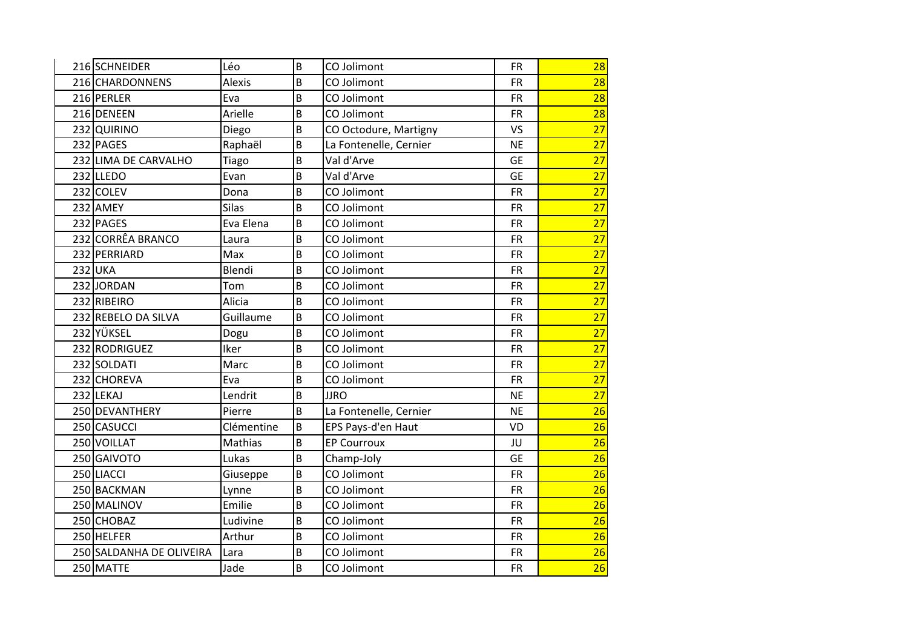| 216 SCHNEIDER            | Léo          | B | CO Jolimont            | <b>FR</b> | 28              |
|--------------------------|--------------|---|------------------------|-----------|-----------------|
| 216 CHARDONNENS          | Alexis       | B | CO Jolimont            | <b>FR</b> | 28              |
| 216 PERLER               | Eva          | B | CO Jolimont            | <b>FR</b> | 28              |
| 216 DENEEN               | Arielle      | B | CO Jolimont            | <b>FR</b> | 28              |
| 232 QUIRINO              | Diego        | B | CO Octodure, Martigny  | <b>VS</b> | 27              |
| 232 PAGES                | Raphaël      | B | La Fontenelle, Cernier | <b>NE</b> | $\overline{27}$ |
| 232 LIMA DE CARVALHO     | Tiago        | B | Val d'Arve             | <b>GE</b> | 27              |
| 232 LLEDO                | Evan         | B | Val d'Arve             | <b>GE</b> | 27              |
| 232 COLEV                | Dona         | B | CO Jolimont            | <b>FR</b> | 27              |
| 232 AMEY                 | <b>Silas</b> | B | CO Jolimont            | <b>FR</b> | 27              |
| 232 PAGES                | Eva Elena    | B | CO Jolimont            | <b>FR</b> | 27              |
| 232 CORRÊA BRANCO        | Laura        | B | CO Jolimont            | <b>FR</b> | 27              |
| 232 PERRIARD             | Max          | B | CO Jolimont            | <b>FR</b> | 27              |
| 232 UKA                  | Blendi       | B | CO Jolimont            | <b>FR</b> | $\overline{27}$ |
| 232JORDAN                | Tom          | B | CO Jolimont            | <b>FR</b> | 27              |
| 232 RIBEIRO              | Alicia       | B | CO Jolimont            | <b>FR</b> | 27              |
| 232 REBELO DA SILVA      | Guillaume    | B | CO Jolimont            | <b>FR</b> | 27              |
| 232 YÜKSEL               | Dogu         | B | CO Jolimont            | <b>FR</b> | 27              |
| 232 RODRIGUEZ            | Iker         | B | CO Jolimont            | <b>FR</b> | 27              |
| 232 SOLDATI              | Marc         | B | CO Jolimont            | <b>FR</b> | 27              |
| 232 CHOREVA              | Eva          | B | CO Jolimont            | <b>FR</b> | 27              |
| 232 LEKAJ                | Lendrit      | B | <b>JJRO</b>            | <b>NE</b> | 27              |
| 250 DEVANTHERY           | Pierre       | B | La Fontenelle, Cernier | <b>NE</b> | 26              |
| 250 CASUCCI              | Clémentine   | B | EPS Pays-d'en Haut     | <b>VD</b> | 26              |
| 250 VOILLAT              | Mathias      | B | <b>EP Courroux</b>     | JU        | 26              |
| 250 GAIVOTO              | Lukas        | B | Champ-Joly             | <b>GE</b> | 26              |
| 250 LIACCI               | Giuseppe     | B | CO Jolimont            | <b>FR</b> | 26              |
| 250 BACKMAN              | Lynne        | B | CO Jolimont            | <b>FR</b> | 26              |
| 250 MALINOV              | Emilie       | B | CO Jolimont            | <b>FR</b> | 26              |
| 250 CHOBAZ               | Ludivine     | B | CO Jolimont            | <b>FR</b> | 26              |
| 250 HELFER               | Arthur       | B | CO Jolimont            | <b>FR</b> | 26              |
| 250 SALDANHA DE OLIVEIRA | Lara         | B | CO Jolimont            | <b>FR</b> | 26              |
| 250 MATTE                | Jade         | B | CO Jolimont            | <b>FR</b> | 26              |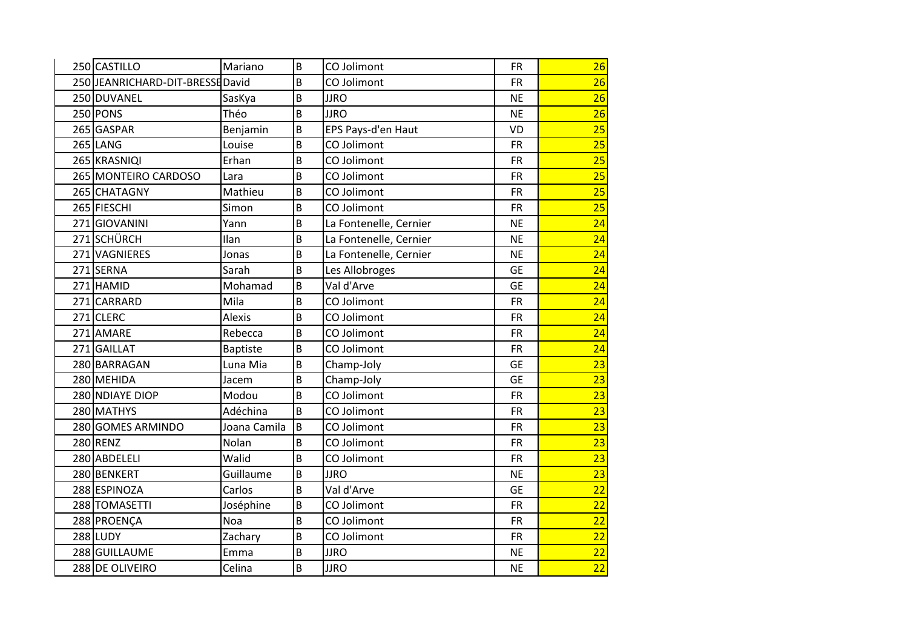| 250 CASTILLO                     | Mariano         | B | CO Jolimont            | <b>FR</b> | 26 |
|----------------------------------|-----------------|---|------------------------|-----------|----|
| 250 JEANRICHARD-DIT-BRESSE David |                 | B | CO Jolimont            | <b>FR</b> | 26 |
| 250 DUVANEL                      | SasKya          | B | <b>JJRO</b>            | <b>NE</b> | 26 |
| 250 PONS                         | Théo            | B | <b>JJRO</b>            | <b>NE</b> | 26 |
| 265 GASPAR                       | Benjamin        | B | EPS Pays-d'en Haut     | VD        | 25 |
| 265 LANG                         | Louise          | B | CO Jolimont            | <b>FR</b> | 25 |
| 265 KRASNIQI                     | Erhan           | B | CO Jolimont            | <b>FR</b> | 25 |
| 265 MONTEIRO CARDOSO             | Lara            | B | CO Jolimont            | <b>FR</b> | 25 |
| 265 CHATAGNY                     | Mathieu         | B | CO Jolimont            | <b>FR</b> | 25 |
| 265 FIESCHI                      | Simon           | B | CO Jolimont            | <b>FR</b> | 25 |
| 271 GIOVANINI                    | Yann            | B | La Fontenelle, Cernier | <b>NE</b> | 24 |
| 271 SCHÜRCH                      | Ilan            | B | La Fontenelle, Cernier | <b>NE</b> | 24 |
| 271 VAGNIERES                    | Jonas           | B | La Fontenelle, Cernier | <b>NE</b> | 24 |
| 271 SERNA                        | Sarah           | B | Les Allobroges         | <b>GE</b> | 24 |
| 271 HAMID                        | Mohamad         | B | Val d'Arve             | <b>GE</b> | 24 |
| 271 CARRARD                      | Mila            | B | CO Jolimont            | <b>FR</b> | 24 |
| 271 CLERC                        | <b>Alexis</b>   | B | CO Jolimont            | <b>FR</b> | 24 |
| 271 AMARE                        | Rebecca         | B | CO Jolimont            | <b>FR</b> | 24 |
| 271 GAILLAT                      | <b>Baptiste</b> | B | CO Jolimont            | <b>FR</b> | 24 |
| 280 BARRAGAN                     | Luna Mia        | B | Champ-Joly             | <b>GE</b> | 23 |
| 280 MEHIDA                       | Jacem           | B | Champ-Joly             | <b>GE</b> | 23 |
| 280 NDIAYE DIOP                  | Modou           | B | CO Jolimont            | <b>FR</b> | 23 |
| 280 MATHYS                       | Adéchina        | B | CO Jolimont            | <b>FR</b> | 23 |
| 280 GOMES ARMINDO                | Joana Camila    | B | CO Jolimont            | <b>FR</b> | 23 |
| 280RENZ                          | Nolan           | B | CO Jolimont            | <b>FR</b> | 23 |
| 280 ABDELELI                     | Walid           | B | CO Jolimont            | <b>FR</b> | 23 |
| 280 BENKERT                      | Guillaume       | B | <b>JJRO</b>            | <b>NE</b> | 23 |
| 288 ESPINOZA                     | Carlos          | B | Val d'Arve             | <b>GE</b> | 22 |
| 288 TOMASETTI                    | Joséphine       | B | CO Jolimont            | <b>FR</b> | 22 |
| 288 PROENÇA                      | Noa             | B | CO Jolimont            | <b>FR</b> | 22 |
| 288 LUDY                         | Zachary         | B | CO Jolimont            | <b>FR</b> | 22 |
| 288 GUILLAUME                    | Emma            | B | <b>JJRO</b>            | <b>NE</b> | 22 |
| 288 DE OLIVEIRO                  | Celina          | B | <b>JJRO</b>            | <b>NE</b> | 22 |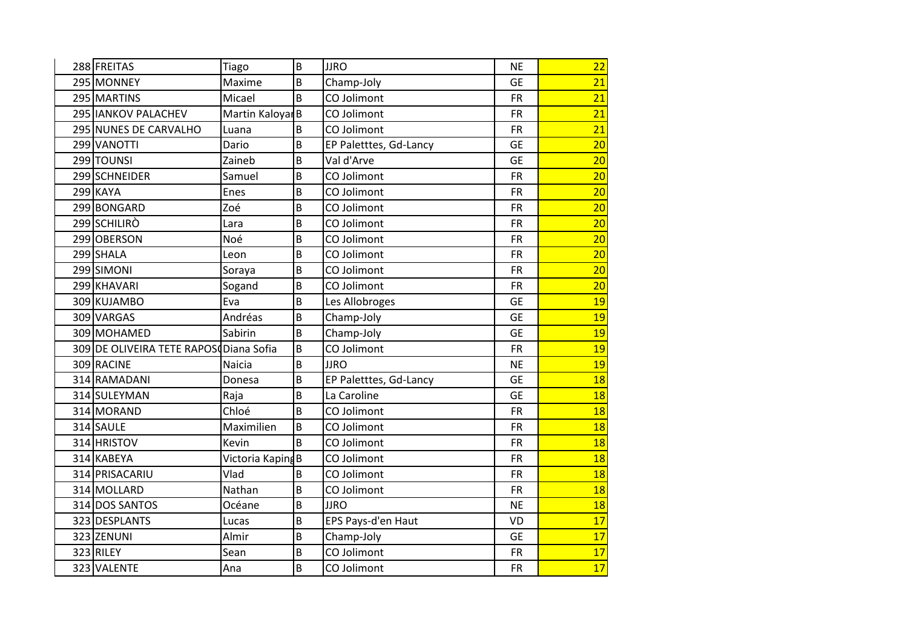| 288 FREITAS                            | Tiago                       | B | <b>JJRO</b>            | <b>NE</b> | 22 |
|----------------------------------------|-----------------------------|---|------------------------|-----------|----|
| 295 MONNEY                             | Maxime                      | B | Champ-Joly             | <b>GE</b> | 21 |
| 295 MARTINS                            | Micael                      | B | CO Jolimont            | <b>FR</b> | 21 |
| 295 IANKOV PALACHEV                    | Martin Kaloyar <sub>B</sub> |   | CO Jolimont            | <b>FR</b> | 21 |
| 295 NUNES DE CARVALHO                  | Luana                       | B | CO Jolimont            | <b>FR</b> | 21 |
| 299 VANOTTI                            | Dario                       | B | EP Paletttes, Gd-Lancy | <b>GE</b> | 20 |
| 299 TOUNSI                             | Zaineb                      | B | Val d'Arve             | <b>GE</b> | 20 |
| 299 SCHNEIDER                          | Samuel                      | B | CO Jolimont            | <b>FR</b> | 20 |
| 299 KAYA                               | Enes                        | B | CO Jolimont            | <b>FR</b> | 20 |
| 299 BONGARD                            | Zoé                         | B | CO Jolimont            | <b>FR</b> | 20 |
| 299 SCHILIRO                           | Lara                        | B | CO Jolimont            | <b>FR</b> | 20 |
| 299 OBERSON                            | Noé                         | B | CO Jolimont            | <b>FR</b> | 20 |
| 299 SHALA                              | Leon                        | B | CO Jolimont            | <b>FR</b> | 20 |
| 299 SIMONI                             | Soraya                      | B | CO Jolimont            | <b>FR</b> | 20 |
| 299 KHAVARI                            | Sogand                      | B | CO Jolimont            | <b>FR</b> | 20 |
| 309 KUJAMBO                            | Eva                         | B | Les Allobroges         | <b>GE</b> | 19 |
| 309 VARGAS                             | Andréas                     | B | Champ-Joly             | <b>GE</b> | 19 |
| 309 MOHAMED                            | Sabirin                     | B | Champ-Joly             | <b>GE</b> | 19 |
| 309 DE OLIVEIRA TETE RAPOSODiana Sofia |                             | B | CO Jolimont            | <b>FR</b> | 19 |
| 309 RACINE                             | Naicia                      | B | <b>JJRO</b>            | <b>NE</b> | 19 |
| 314 RAMADANI                           | Donesa                      | B | EP Paletttes, Gd-Lancy | <b>GE</b> | 18 |
| 314 SULEYMAN                           | Raja                        | B | La Caroline            | <b>GE</b> | 18 |
| 314 MORAND                             | Chloé                       | B | CO Jolimont            | <b>FR</b> | 18 |
| 314 SAULE                              | Maximilien                  | B | CO Jolimont            | <b>FR</b> | 18 |
| 314 HRISTOV                            | Kevin                       | B | CO Jolimont            | <b>FR</b> | 18 |
| 314 KABEYA                             | Victoria Kaping B           |   | CO Jolimont            | <b>FR</b> | 18 |
| 314 PRISACARIU                         | Vlad                        | B | CO Jolimont            | <b>FR</b> | 18 |
| 314 MOLLARD                            | Nathan                      | B | CO Jolimont            | <b>FR</b> | 18 |
| 314 DOS SANTOS                         | Océane                      | B | <b>JJRO</b>            | <b>NE</b> | 18 |
| 323 DESPLANTS                          | Lucas                       | B | EPS Pays-d'en Haut     | VD        | 17 |
| 323 ZENUNI                             | Almir                       | B | Champ-Joly             | <b>GE</b> | 17 |
| 323 RILEY                              | Sean                        | B | CO Jolimont            | <b>FR</b> | 17 |
| 323 VALENTE                            | Ana                         | B | CO Jolimont            | <b>FR</b> | 17 |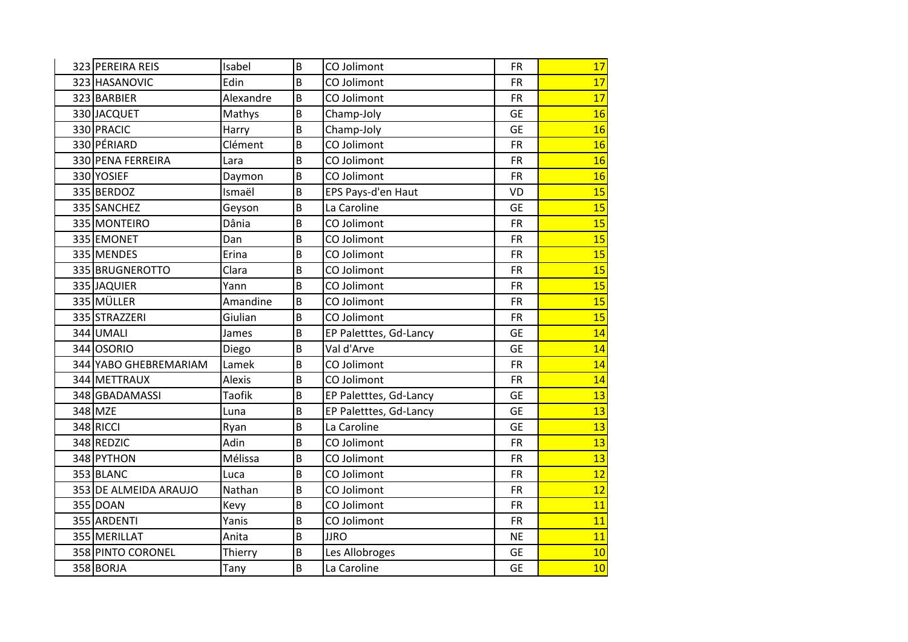| 323 PEREIRA REIS      | Isabel        | B | CO Jolimont            | <b>FR</b> | 17 |
|-----------------------|---------------|---|------------------------|-----------|----|
| 323 HASANOVIC         | Edin          | B | CO Jolimont            | <b>FR</b> | 17 |
| 323 BARBIER           | Alexandre     | B | CO Jolimont            | <b>FR</b> | 17 |
| 330 JACQUET           | Mathys        | B | Champ-Joly             | <b>GE</b> | 16 |
| 330 PRACIC            | Harry         | B | Champ-Joly             | <b>GE</b> | 16 |
| 330 PÉRIARD           | Clément       | B | CO Jolimont            | <b>FR</b> | 16 |
| 330 PENA FERREIRA     | Lara          | B | CO Jolimont            | <b>FR</b> | 16 |
| 330 YOSIEF            | Daymon        | B | CO Jolimont            | <b>FR</b> | 16 |
| 335 BERDOZ            | Ismaël        | B | EPS Pays-d'en Haut     | <b>VD</b> | 15 |
| 335 SANCHEZ           | Geyson        | B | La Caroline            | <b>GE</b> | 15 |
| 335 MONTEIRO          | Dânia         | B | CO Jolimont            | <b>FR</b> | 15 |
| 335 EMONET            | Dan           | B | CO Jolimont            | <b>FR</b> | 15 |
| 335 MENDES            | Erina         | B | CO Jolimont            | <b>FR</b> | 15 |
| 335 BRUGNEROTTO       | Clara         | B | CO Jolimont            | <b>FR</b> | 15 |
| 335 JAQUIER           | Yann          | B | CO Jolimont            | <b>FR</b> | 15 |
| 335 MÜLLER            | Amandine      | B | CO Jolimont            | <b>FR</b> | 15 |
| 335 STRAZZERI         | Giulian       | B | CO Jolimont            | <b>FR</b> | 15 |
| 344 UMALI             | James         | B | EP Paletttes, Gd-Lancy | <b>GE</b> | 14 |
| 344 OSORIO            | Diego         | B | Val d'Arve             | <b>GE</b> | 14 |
| 344 YABO GHEBREMARIAM | Lamek         | B | CO Jolimont            | <b>FR</b> | 14 |
| 344 METTRAUX          | <b>Alexis</b> | B | CO Jolimont            | <b>FR</b> | 14 |
| 348 GBADAMASSI        | <b>Taofik</b> | B | EP Paletttes, Gd-Lancy | <b>GE</b> | 13 |
| 348 MZE               | Luna          | B | EP Paletttes, Gd-Lancy | <b>GE</b> | 13 |
| 348 RICCI             | Ryan          | B | La Caroline            | <b>GE</b> | 13 |
| 348 REDZIC            | Adin          | B | CO Jolimont            | <b>FR</b> | 13 |
| 348 PYTHON            | Mélissa       | B | CO Jolimont            | <b>FR</b> | 13 |
| 353 BLANC             | Luca          | B | CO Jolimont            | <b>FR</b> | 12 |
| 353 DE ALMEIDA ARAUJO | Nathan        | B | CO Jolimont            | <b>FR</b> | 12 |
| 355 DOAN              | Kevy          | B | CO Jolimont            | <b>FR</b> | 11 |
| 355 ARDENTI           | Yanis         | B | CO Jolimont            | <b>FR</b> | 11 |
| 355 MERILLAT          | Anita         | B | <b>JJRO</b>            | <b>NE</b> | 11 |
| 358 PINTO CORONEL     | Thierry       | B | Les Allobroges         | <b>GE</b> | 10 |
| 358 BORJA             | Tany          | B | La Caroline            | <b>GE</b> | 10 |